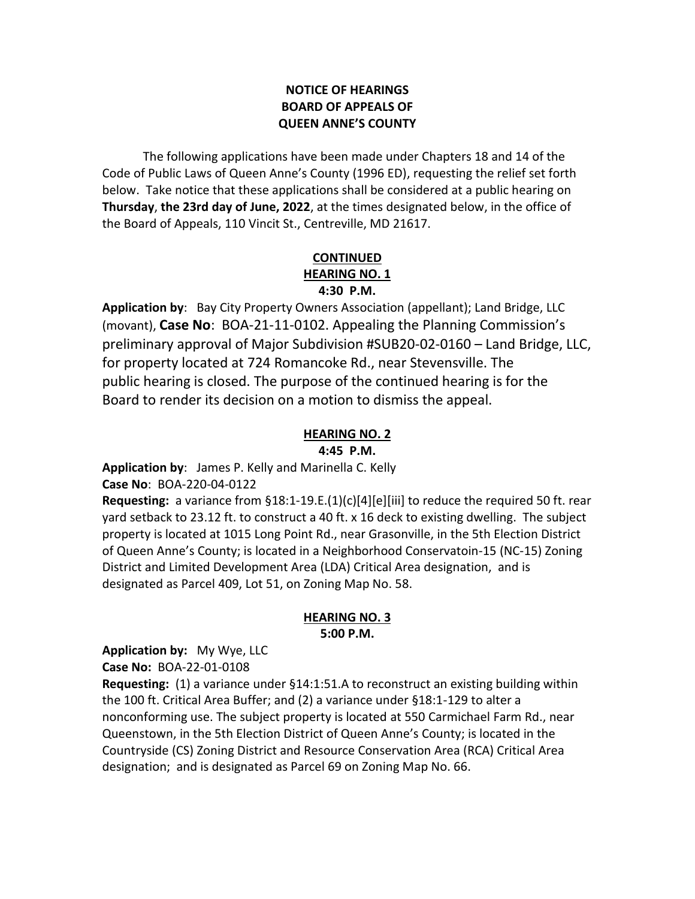## **NOTICE OF HEARINGS BOARD OF APPEALS OF QUEEN ANNE'S COUNTY**

The following applications have been made under Chapters 18 and 14 of the Code of Public Laws of Queen Anne's County (1996 ED), requesting the relief set forth below. Take notice that these applications shall be considered at a public hearing on **Thursday**, **the 23rd day of June, 2022**, at the times designated below, in the office of the Board of Appeals, 110 Vincit St., Centreville, MD 21617.

### **CONTINUED HEARING NO. 1 4:30 P.M.**

**Application by**: Bay City Property Owners Association (appellant); Land Bridge, LLC (movant), **Case No**: BOA-21-11-0102. Appealing the Planning Commission's preliminary approval of Major Subdivision #SUB20-02-0160 – Land Bridge, LLC, for property located at 724 Romancoke Rd., near Stevensville. The public hearing is closed. The purpose of the continued hearing is for the Board to render its decision on a motion to dismiss the appeal.

# **HEARING NO. 2**

**4:45 P.M.**

**Application by**: James P. Kelly and Marinella C. Kelly **Case No**: BOA-220-04-0122

**Requesting:** a variance from §18:1-19.E.(1)(c)[4][e][iii] to reduce the required 50 ft. rear yard setback to 23.12 ft. to construct a 40 ft. x 16 deck to existing dwelling. The subject property is located at 1015 Long Point Rd., near Grasonville, in the 5th Election District of Queen Anne's County; is located in a Neighborhood Conservatoin-15 (NC-15) Zoning District and Limited Development Area (LDA) Critical Area designation, and is designated as Parcel 409, Lot 51, on Zoning Map No. 58.

## **HEARING NO. 3 5:00 P.M.**

**Application by:** My Wye, LLC

**Case No:** BOA-22-01-0108

**Requesting:** (1) a variance under §14:1:51.A to reconstruct an existing building within the 100 ft. Critical Area Buffer; and (2) a variance under §18:1-129 to alter a nonconforming use. The subject property is located at 550 Carmichael Farm Rd., near Queenstown, in the 5th Election District of Queen Anne's County; is located in the Countryside (CS) Zoning District and Resource Conservation Area (RCA) Critical Area designation; and is designated as Parcel 69 on Zoning Map No. 66.